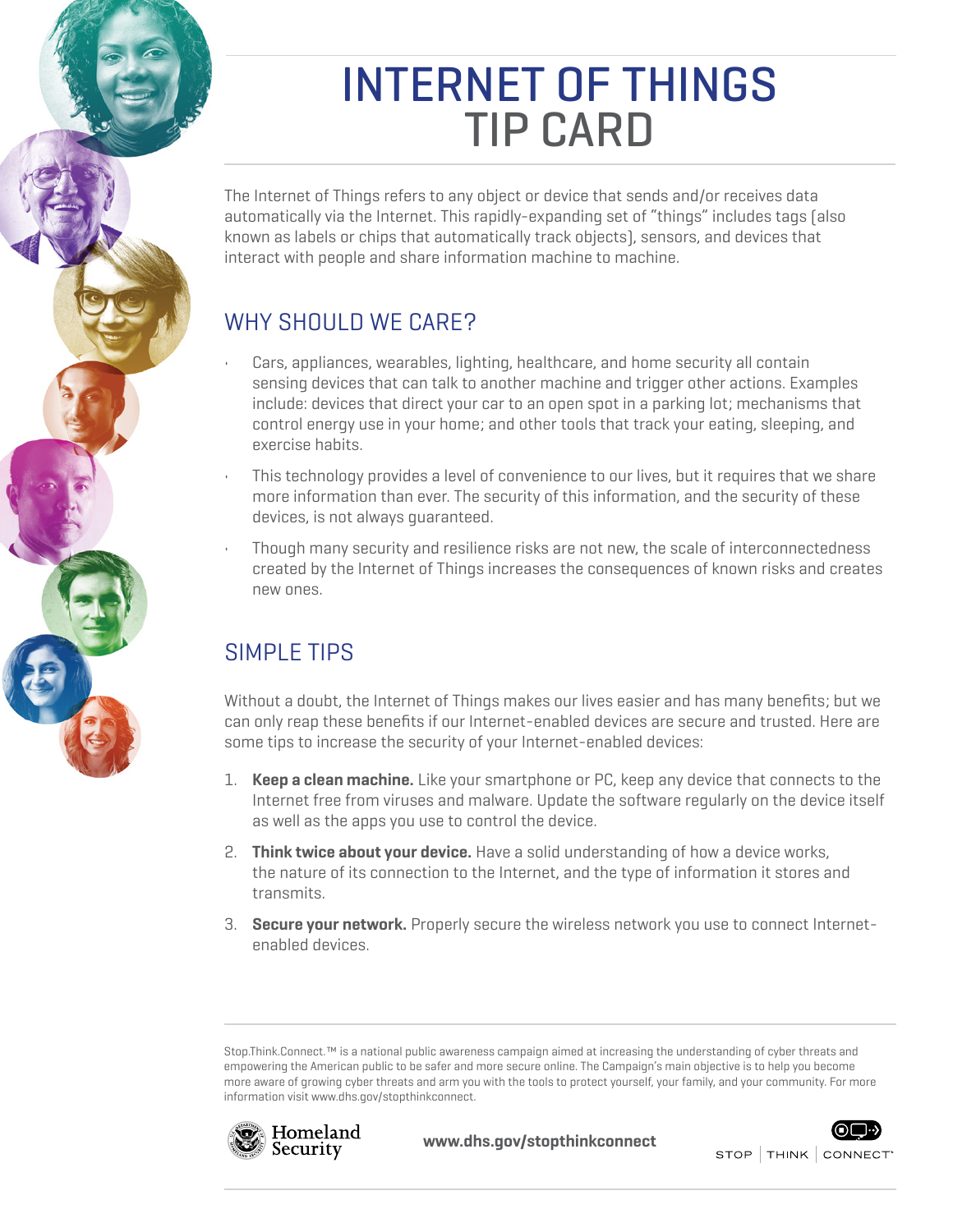# INTERNET OF THINGS TIP CARD

The Internet of Things refers to any object or device that sends and/or receives data automatically via the Internet. This rapidly-expanding set of "things" includes tags (also known as labels or chips that automatically track objects), sensors, and devices that interact with people and share information machine to machine.

## WHY SHOULD WE CARE?

- Cars, appliances, wearables, lighting, healthcare, and home security all contain sensing devices that can talk to another machine and trigger other actions. Examples include: devices that direct your car to an open spot in a parking lot; mechanisms that control energy use in your home; and other tools that track your eating, sleeping, and exercise habits.
- This technology provides a level of convenience to our lives, but it requires that we share more information than ever. The security of this information, and the security of these devices, is not always guaranteed.
- Though many security and resilience risks are not new, the scale of interconnectedness created by the Internet of Things increases the consequences of known risks and creates new ones.

### SIMPLE TIPS

Without a doubt, the Internet of Things makes our lives easier and has many benefits; but we can only reap these benefits if our Internet-enabled devices are secure and trusted. Here are some tips to increase the security of your Internet-enabled devices:

- 1. **Keep a clean machine.** Like your smartphone or PC, keep any device that connects to the Internet free from viruses and malware. Update the software regularly on the device itself as well as the apps you use to control the device.
- 2. **Think twice about your device.** Have a solid understanding of how a device works, the nature of its connection to the Internet, and the type of information it stores and transmits.
- 3. **Secure your network.** Properly secure the wireless network you use to connect Internetenabled devices.

Stop.Think.Connect.™ is a national public awareness campaign aimed at increasing the understanding of cyber threats and empowering the American public to be safer and more secure online. The Campaign's main objective is to help you become more aware of growing cyber threats and arm you with the tools to protect yourself, your family, and your community. For more information visit<www.dhs.gov/stopthinkconnect>.



**www.dhs.gov/stopthinkconnect**